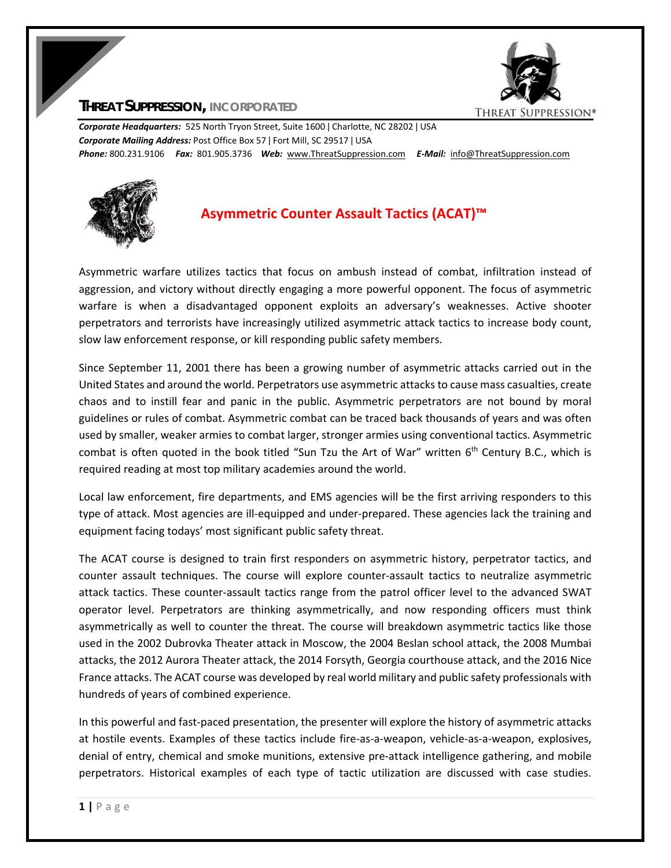

## **THREAT SUPPRESSION, INCORPORATED**

*Corporate Headquarters:* 525 North Tryon Street, Suite 1600 ǀ Charlotte, NC 28202 ǀ USA *Corporate Mailing Address:* Post Office Box 57 ǀ Fort Mill, SC 29517 ǀ USA *Phone:* 800.231.9106  *Fax:* 801.905.3736 *Web:* www.ThreatSuppression.com *E‐Mail:*  info@ThreatSuppression.com



## **Asymmetric Counter Assault Tactics (ACAT)™**

Asymmetric warfare utilizes tactics that focus on ambush instead of combat, infiltration instead of aggression, and victory without directly engaging a more powerful opponent. The focus of asymmetric warfare is when a disadvantaged opponent exploits an adversary's weaknesses. Active shooter perpetrators and terrorists have increasingly utilized asymmetric attack tactics to increase body count, slow law enforcement response, or kill responding public safety members.

Since September 11, 2001 there has been a growing number of asymmetric attacks carried out in the United States and around the world. Perpetrators use asymmetric attacks to cause mass casualties, create chaos and to instill fear and panic in the public. Asymmetric perpetrators are not bound by moral guidelines or rules of combat. Asymmetric combat can be traced back thousands of years and was often used by smaller, weaker armies to combat larger, stronger armies using conventional tactics. Asymmetric combat is often quoted in the book titled "Sun Tzu the Art of War" written  $6<sup>th</sup>$  Century B.C., which is required reading at most top military academies around the world.

Local law enforcement, fire departments, and EMS agencies will be the first arriving responders to this type of attack. Most agencies are ill‐equipped and under‐prepared. These agencies lack the training and equipment facing todays' most significant public safety threat.

The ACAT course is designed to train first responders on asymmetric history, perpetrator tactics, and counter assault techniques. The course will explore counter‐assault tactics to neutralize asymmetric attack tactics. These counter‐assault tactics range from the patrol officer level to the advanced SWAT operator level. Perpetrators are thinking asymmetrically, and now responding officers must think asymmetrically as well to counter the threat. The course will breakdown asymmetric tactics like those used in the 2002 Dubrovka Theater attack in Moscow, the 2004 Beslan school attack, the 2008 Mumbai attacks, the 2012 Aurora Theater attack, the 2014 Forsyth, Georgia courthouse attack, and the 2016 Nice France attacks. The ACAT course was developed by real world military and public safety professionals with hundreds of years of combined experience.

In this powerful and fast‐paced presentation, the presenter will explore the history of asymmetric attacks at hostile events. Examples of these tactics include fire‐as‐a‐weapon, vehicle‐as‐a‐weapon, explosives, denial of entry, chemical and smoke munitions, extensive pre‐attack intelligence gathering, and mobile perpetrators. Historical examples of each type of tactic utilization are discussed with case studies.